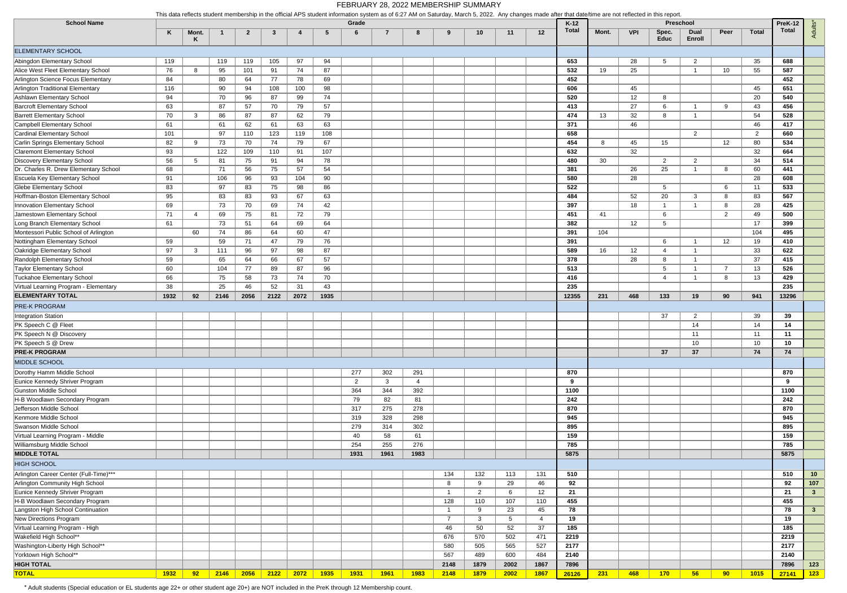|                                        | This data reflects student membership in the official APS student information system as of 6:27 AM on Saturday, March 5, 2022. Any changes made after that date/time are not reflected in this report |              |      |              |           |      |      |                |                |                |                |                |                 |                   |                 |       |                   |                 |                                    |                |                |                  |                 |
|----------------------------------------|-------------------------------------------------------------------------------------------------------------------------------------------------------------------------------------------------------|--------------|------|--------------|-----------|------|------|----------------|----------------|----------------|----------------|----------------|-----------------|-------------------|-----------------|-------|-------------------|-----------------|------------------------------------|----------------|----------------|------------------|-----------------|
| <b>School Name</b>                     | K                                                                                                                                                                                                     | Mont.        |      | $\mathbf{2}$ | -3        |      | -5   | Grade<br>6     | $\overline{7}$ | 8              | 9              | 10             | 11              | 12                | $K-12$<br>Total | Mont. | <b>VPI</b>        | Spec.<br>Educ   | Preschool<br><b>Dual</b><br>Enroll | Peer           | <b>Total</b>   | PreK-12<br>Total | Adults*         |
| <b>ELEMENTARY SCHOOL</b>               |                                                                                                                                                                                                       |              |      |              |           |      |      |                |                |                |                |                |                 |                   |                 |       |                   |                 |                                    |                |                |                  |                 |
| Abingdon Elementary School             | 119                                                                                                                                                                                                   |              | 119  | 119          | 105       | 97   | 94   |                |                |                |                |                |                 |                   | 653             |       | 28                | 5               | 2                                  |                | 35             | 688              |                 |
| Alice West Fleet Elementary School     | 76                                                                                                                                                                                                    | 8            | 95   | 101          | 91        | 74   | 87   |                |                |                |                |                |                 |                   | 532             | 19    | 25                |                 | -1                                 | 10             | 55             | 587              |                 |
| Arlington Science Focus Elementary     | 84                                                                                                                                                                                                    |              | 80   | 64           | 77        | 78   | 69   |                |                |                |                |                |                 |                   | 452             |       |                   |                 |                                    |                |                | 452              |                 |
| Arlington Traditional Elementary       | 116                                                                                                                                                                                                   |              | 90   | 94           | 108       | 100  | 98   |                |                |                |                |                |                 |                   | 606             |       | 45                |                 |                                    |                | 45             | 651              |                 |
| Ashlawn Elementary School              | 94                                                                                                                                                                                                    |              | 70   | 96           | 87        | 99   | 74   |                |                |                |                |                |                 |                   | 520             |       | $12 \overline{ }$ | 8               |                                    |                | 20             | 540              |                 |
| <b>Barcroft Elementary School</b>      | 63                                                                                                                                                                                                    |              | 87   | 57           | 70        | 79   | 57   |                |                |                |                |                |                 |                   | 413             |       | 27                | 6               |                                    | 9              | 43             | 456              |                 |
| <b>Barrett Elementary School</b>       | 70                                                                                                                                                                                                    | 3            | 86   | 87           | 87        | 62   | 79   |                |                |                |                |                |                 |                   | 474             | 13    | 32                | 8               |                                    |                | 54             | 528              |                 |
| Campbell Elementary School             | 61                                                                                                                                                                                                    |              | 61   | 62           | 61        | 63   | 63   |                |                |                |                |                |                 |                   | 371             |       | 46                |                 |                                    |                | 46             | 417              |                 |
| Cardinal Elementary School             | 101                                                                                                                                                                                                   |              | 97   | 110          | 123       | 119  | 108  |                |                |                |                |                |                 |                   | 658             |       |                   |                 | $\overline{2}$                     |                | $\overline{2}$ | 660              |                 |
| Carlin Springs Elementary School       | 82                                                                                                                                                                                                    | 9            | 73   | 70           | 74        | 79   | 67   |                |                |                |                |                |                 |                   | 454             | 8     | 45                | 15              |                                    | 12             | 80             | 534              |                 |
| <b>Claremont Elementary School</b>     | 93                                                                                                                                                                                                    |              | 122  | 109          | 110       | 91   | 107  |                |                |                |                |                |                 |                   | 632             |       | 32                |                 |                                    |                | 32             | 664              |                 |
| Discovery Elementary School            | 56                                                                                                                                                                                                    | 5            | 81   | 75           | 91        | 94   | 78   |                |                |                |                |                |                 |                   | 480             | 30    |                   | $\overline{2}$  | $\overline{2}$                     |                | 34             | 514              |                 |
| Dr. Charles R. Drew Elementary School  | 68                                                                                                                                                                                                    |              | 71   | 56           | 75        | 57   | 54   |                |                |                |                |                |                 |                   | 381             |       | 26                | 25              |                                    | 8              | 60             | 441              |                 |
| Escuela Key Elementary School          | 91                                                                                                                                                                                                    |              | 106  | 96           | 93        | 104  | 90   |                |                |                |                |                |                 |                   | 580             |       | 28                |                 |                                    |                | 28             | 608              |                 |
| <b>Glebe Elementary School</b>         | 83                                                                                                                                                                                                    |              | 97   | 83           | 75        | 98   | 86   |                |                |                |                |                |                 |                   | 522             |       |                   | $5\overline{5}$ |                                    | 6              | 11             | 533              |                 |
| Hoffman-Boston Elementary School       | 95                                                                                                                                                                                                    |              | 83   | 83           | 93        | 67   | 63   |                |                |                |                |                |                 |                   | 484             |       | 52                | 20              | 3                                  | 8              | 83             | 567              |                 |
| Innovation Elementary School           | 69                                                                                                                                                                                                    |              | 73   | 70           | 69        | 74   | 42   |                |                |                |                |                |                 |                   | 397             |       | 18                | -1              |                                    | 8              | 28             | 425              |                 |
| Jamestown Elementary School            | 71                                                                                                                                                                                                    | 4            | 69   | 75           | 81        | 72   | 79   |                |                |                |                |                |                 |                   | 451             | 41    |                   | 6               |                                    | 2              | 49             | 500              |                 |
| Long Branch Elementary School          | 61                                                                                                                                                                                                    |              | 73   | 51           | 64        | 69   | 64   |                |                |                |                |                |                 |                   | 382             |       | 12                | 5               |                                    |                | 17             | 399              |                 |
| Montessori Public School of Arlington  |                                                                                                                                                                                                       | 60           | 74   | 86           | 64        | 60   | 47   |                |                |                |                |                |                 |                   | 391             | 104   |                   |                 |                                    |                | 104            | 495              |                 |
| Nottingham Elementary School           | 59                                                                                                                                                                                                    |              | 59   | 71           | 47        | 79   | 76   |                |                |                |                |                |                 |                   | 391             |       |                   | 6               |                                    | 12             | 19             | 410              |                 |
| Oakridge Elementary School             | 97                                                                                                                                                                                                    | $\mathbf{3}$ | 111  | 96           | 97        | 98   | 87   |                |                |                |                |                |                 |                   | 589             | 16    | 12                | 4               |                                    |                | 33             | 622              |                 |
| Randolph Elementary School             | 59                                                                                                                                                                                                    |              | 65   | 64           | 66        | 67   | 57   |                |                |                |                |                |                 |                   | 378             |       | 28                | 8               |                                    |                | 37             | 415              |                 |
| Taylor Elementary School               | 60                                                                                                                                                                                                    |              | 104  | 77           | 89        | 87   | 96   |                |                |                |                |                |                 |                   | 513             |       |                   | 5               |                                    | $\overline{7}$ | 13             | 526              |                 |
| Tuckahoe Elementary School             | 66                                                                                                                                                                                                    |              | 75   | 58           | 73        | 74   | 70   |                |                |                |                |                |                 |                   | 416             |       |                   | 4               |                                    | -8             | 13             | 429              |                 |
| Virtual Learning Program - Elementary  | 38                                                                                                                                                                                                    |              | 25   | 46           | 52        | 31   | 43   |                |                |                |                |                |                 |                   | 235             |       |                   |                 |                                    |                |                | 235              |                 |
| <b>ELEMENTARY TOTAL</b>                | 1932                                                                                                                                                                                                  | 92           | 2146 | 2056         | 2122      | 2072 | 1935 |                |                |                |                |                |                 |                   | 12355           | 231   | 468               | 133             | 19                                 | 90             | 941            | 13296            |                 |
|                                        |                                                                                                                                                                                                       |              |      |              |           |      |      |                |                |                |                |                |                 |                   |                 |       |                   |                 |                                    |                |                |                  |                 |
| <b>PRE-K PROGRAM</b>                   |                                                                                                                                                                                                       |              |      |              |           |      |      |                |                |                |                |                |                 |                   |                 |       |                   |                 |                                    |                |                |                  |                 |
| Integration Station                    |                                                                                                                                                                                                       |              |      |              |           |      |      |                |                |                |                |                |                 |                   |                 |       |                   | 37              | $\overline{2}$                     |                | 39             | 39               |                 |
| PK Speech C @ Fleet                    |                                                                                                                                                                                                       |              |      |              |           |      |      |                |                |                |                |                |                 |                   |                 |       |                   |                 | 14                                 |                | 14             | 14               |                 |
| PK Speech N @ Discovery                |                                                                                                                                                                                                       |              |      |              |           |      |      |                |                |                |                |                |                 |                   |                 |       |                   |                 | 11                                 |                | 11             | 11               |                 |
| PK Speech S @ Drew                     |                                                                                                                                                                                                       |              |      |              |           |      |      |                |                |                |                |                |                 |                   |                 |       |                   |                 | 10                                 |                | 10             | 10               |                 |
| <b>PRE-K PROGRAM</b>                   |                                                                                                                                                                                                       |              |      |              |           |      |      |                |                |                |                |                |                 |                   |                 |       |                   | 37              | 37                                 |                | 74             | 74               |                 |
| MIDDLE SCHOOL                          |                                                                                                                                                                                                       |              |      |              |           |      |      |                |                |                |                |                |                 |                   |                 |       |                   |                 |                                    |                |                |                  |                 |
| Dorothy Hamm Middle School             |                                                                                                                                                                                                       |              |      |              |           |      |      | 277            | 302            | 291            |                |                |                 |                   | 870             |       |                   |                 |                                    |                |                | 870              |                 |
| Eunice Kennedy Shriver Program         |                                                                                                                                                                                                       |              |      |              |           |      |      | $\overline{2}$ | $\mathbf{3}$   | $\overline{4}$ |                |                |                 |                   | 9               |       |                   |                 |                                    |                |                | 9                |                 |
| Gunston Middle School                  |                                                                                                                                                                                                       |              |      |              |           |      |      | 364            | 344            | 392            |                |                |                 |                   | 1100            |       |                   |                 |                                    |                |                | 1100             |                 |
| H-B Woodlawn Secondary Program         |                                                                                                                                                                                                       |              |      |              |           |      |      | 79             | 82             | 81             |                |                |                 |                   | 242             |       |                   |                 |                                    |                |                | 242              |                 |
| Jefferson Middle School                |                                                                                                                                                                                                       |              |      |              |           |      |      | 317            | 275            | 278            |                |                |                 |                   | 870             |       |                   |                 |                                    |                |                | 870              |                 |
| Kenmore Middle School                  |                                                                                                                                                                                                       |              |      |              |           |      |      | 319            | 328            | 298            |                |                |                 |                   | 945             |       |                   |                 |                                    |                |                | 945              |                 |
| Swanson Middle School                  |                                                                                                                                                                                                       |              |      |              |           |      |      | 279            | 314            | 302            |                |                |                 |                   | 895             |       |                   |                 |                                    |                |                | 895              |                 |
| Virtual Learning Program - Middle      |                                                                                                                                                                                                       |              |      |              |           |      |      | 40             | 58             | 61             |                |                |                 |                   | 159             |       |                   |                 |                                    |                |                | 159              |                 |
| Williamsburg Middle School             |                                                                                                                                                                                                       |              |      |              |           |      |      | 254            | 255            | 276            |                |                |                 |                   | 785             |       |                   |                 |                                    |                |                | 785              |                 |
| <b>MIDDLE TOTAL</b>                    |                                                                                                                                                                                                       |              |      |              |           |      |      | 1931           | 1961           | 1983           |                |                |                 |                   | 5875            |       |                   |                 |                                    |                |                | 5875             |                 |
| <b>HIGH SCHOOL</b>                     |                                                                                                                                                                                                       |              |      |              |           |      |      |                |                |                |                |                |                 |                   |                 |       |                   |                 |                                    |                |                |                  |                 |
| Arlington Career Center (Full-Time)*** |                                                                                                                                                                                                       |              |      |              |           |      |      |                |                |                | 134            | 132            | 113             | 131               | 510             |       |                   |                 |                                    |                |                | 510              | 10 <sub>1</sub> |
| Arlington Community High School        |                                                                                                                                                                                                       |              |      |              |           |      |      |                |                |                | 8              | 9              | 29              | 46                | 92              |       |                   |                 |                                    |                |                | 92               | 107             |
| Eunice Kennedy Shriver Program         |                                                                                                                                                                                                       |              |      |              |           |      |      |                |                |                | $\mathbf{1}$   | $\overline{2}$ | 6               | 12                | 21              |       |                   |                 |                                    |                |                | 21               | 3 <sup>2</sup>  |
| H-B Woodlawn Secondary Program         |                                                                                                                                                                                                       |              |      |              |           |      |      |                |                |                | 128            | 110            | 107             | 110               | 455             |       |                   |                 |                                    |                |                | 455              |                 |
| Langston High School Continuation      |                                                                                                                                                                                                       |              |      |              |           |      |      |                |                |                | $\mathbf{1}$   | 9              | 23              | 45                | 78              |       |                   |                 |                                    |                |                | 78               | 3 <sup>1</sup>  |
| New Directions Program                 |                                                                                                                                                                                                       |              |      |              |           |      |      |                |                |                | $\overline{7}$ | 3              | $5\overline{)}$ | $\overline{4}$    | 19              |       |                   |                 |                                    |                |                | 19               |                 |
| Virtual Learning Program - High        |                                                                                                                                                                                                       |              |      |              |           |      |      |                |                |                | 46             | 50             | 52              | 37                | 185             |       |                   |                 |                                    |                |                | 185              |                 |
| Wakefield High School**                |                                                                                                                                                                                                       |              |      |              |           |      |      |                |                |                | 676            | 570            | 502             | 471               | 2219            |       |                   |                 |                                    |                |                | 2219             |                 |
| Washington-Liberty High School**       |                                                                                                                                                                                                       |              |      |              |           |      |      |                |                |                | 580            | 505            | 565             | 527               | 2177            |       |                   |                 |                                    |                |                | 2177             |                 |
| Yorktown High School**                 |                                                                                                                                                                                                       |              |      |              |           |      |      |                |                |                | 567            | 489            | 600             | 484               | 2140            |       |                   |                 |                                    |                |                | 2140             |                 |
| <b>HIGH TOTAL</b>                      |                                                                                                                                                                                                       |              |      |              |           |      |      |                |                |                | 2148           | 1879           | 2002            | 1867              | 7896            |       |                   |                 |                                    |                |                | 7896             | 123             |
| <b>TOTAL</b>                           |                                                                                                                                                                                                       |              |      |              |           |      |      |                |                |                |                |                |                 |                   |                 |       |                   |                 |                                    |                |                |                  |                 |
|                                        | 1932                                                                                                                                                                                                  | 92           | 2146 |              | 2056 2122 | 2072 | 1935 | 1931           | <b>1961</b>    | 1983           | 2148           | <b>1879</b>    | 2002            | <mark>1867</mark> | 26126           | 231   | 468               | 170             | 56                                 | 90             | 1015           | 27141            | 123             |

\* Adult students (Special education or EL students age 22+ or other student age 20+) are NOT included in the PreK through 12 Membership count.

This data reflects student membership in the official APS student information system as of 6:27 AM on Saturday, March 5, 2022. Any changes made after that date/time are not reflected in this report.

## FEBRUARY 28, 2022 MEMBERSHIP SUMMARY